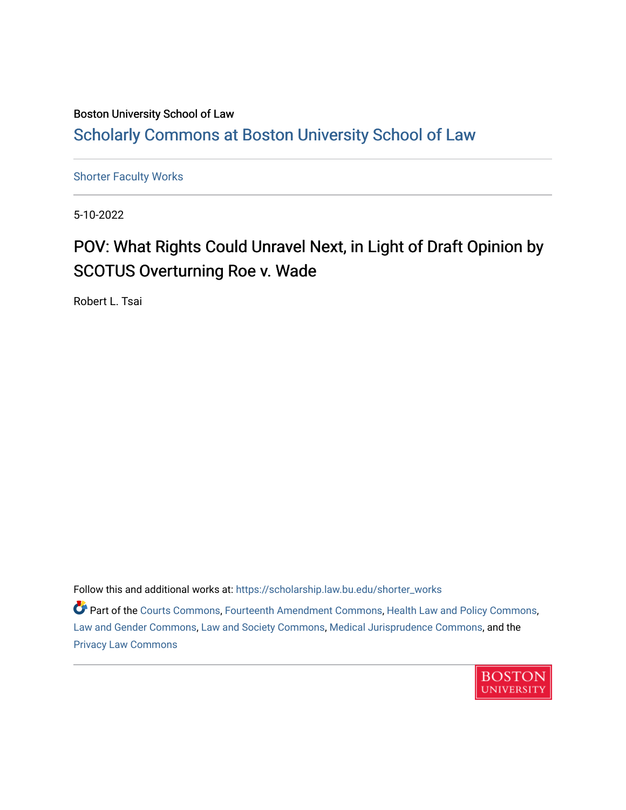#### Boston University School of Law [Scholarly Commons at Boston University School of Law](https://scholarship.law.bu.edu/)

[Shorter Faculty Works](https://scholarship.law.bu.edu/shorter_works)

5-10-2022

## POV: What Rights Could Unravel Next, in Light of Draft Opinion by SCOTUS Overturning Roe v. Wade

Robert L. Tsai

Follow this and additional works at: [https://scholarship.law.bu.edu/shorter\\_works](https://scholarship.law.bu.edu/shorter_works?utm_source=scholarship.law.bu.edu%2Fshorter_works%2F145&utm_medium=PDF&utm_campaign=PDFCoverPages)

Part of the [Courts Commons,](http://network.bepress.com/hgg/discipline/839?utm_source=scholarship.law.bu.edu%2Fshorter_works%2F145&utm_medium=PDF&utm_campaign=PDFCoverPages) [Fourteenth Amendment Commons](http://network.bepress.com/hgg/discipline/1116?utm_source=scholarship.law.bu.edu%2Fshorter_works%2F145&utm_medium=PDF&utm_campaign=PDFCoverPages), [Health Law and Policy Commons](http://network.bepress.com/hgg/discipline/901?utm_source=scholarship.law.bu.edu%2Fshorter_works%2F145&utm_medium=PDF&utm_campaign=PDFCoverPages), [Law and Gender Commons](http://network.bepress.com/hgg/discipline/1298?utm_source=scholarship.law.bu.edu%2Fshorter_works%2F145&utm_medium=PDF&utm_campaign=PDFCoverPages), [Law and Society Commons,](http://network.bepress.com/hgg/discipline/853?utm_source=scholarship.law.bu.edu%2Fshorter_works%2F145&utm_medium=PDF&utm_campaign=PDFCoverPages) [Medical Jurisprudence Commons](http://network.bepress.com/hgg/discipline/860?utm_source=scholarship.law.bu.edu%2Fshorter_works%2F145&utm_medium=PDF&utm_campaign=PDFCoverPages), and the [Privacy Law Commons](http://network.bepress.com/hgg/discipline/1234?utm_source=scholarship.law.bu.edu%2Fshorter_works%2F145&utm_medium=PDF&utm_campaign=PDFCoverPages) 

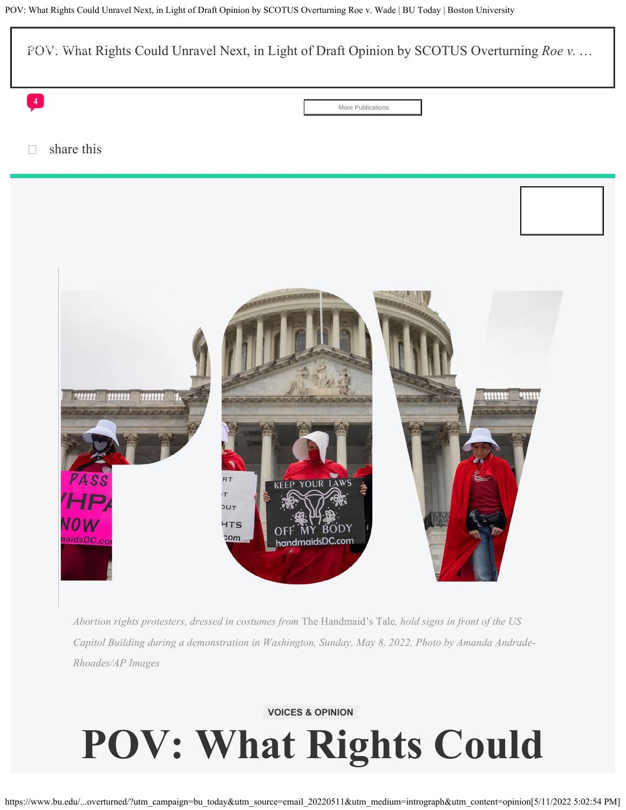

*Abortion rights protesters, dressed in costumes from* The Handmaid's Tale*, hold signs in front of the US Capitol Building during a demonstration in Washington, Sunday, May 8, 2022. Photo by Amanda Andrade-Rhoades/AP Images*

## **VOICES & OPINION POV: What Rights Could**

https://www.bu.edu/...overturned/?utm\_campaign=bu\_today&utm\_source=email\_20220511&utm\_medium=intrograph&utm\_content=opinion[5/11/2022 5:02:54 PM]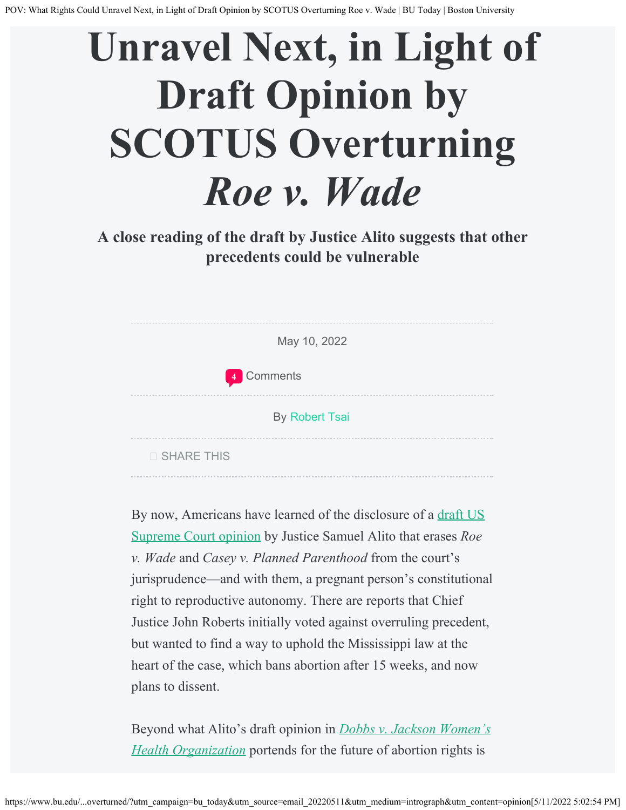# **Unravel Next, in Light of Draft Opinion by SCOTUS Overturning** *Roe v. Wade*

### **A close reading of the draft by Justice Alito suggests that other precedents could be vulnerable**

| May 10, 2022          |  |
|-----------------------|--|
| 4 Comments            |  |
| <b>By Robert Tsai</b> |  |
| <b>O SHARE THIS</b>   |  |

By now, Americans have learned of the disclosure of a [draft US](https://www.politico.com/news/2022/05/02/supreme-court-abortion-draft-opinion-00029473) [Supreme Court opinion](https://www.politico.com/news/2022/05/02/supreme-court-abortion-draft-opinion-00029473) by Justice Samuel Alito that erases *Roe v. Wade* and *Casey v. Planned Parenthood* from the court's jurisprudence—and with them, a pregnant person's constitutional right to reproductive autonomy. There are reports that Chief Justice John Roberts initially voted against overruling precedent, but wanted to find a way to uphold the Mississippi law at the heart of the case, which bans abortion after 15 weeks, and now plans to dissent.

Beyond what Alito's draft opinion in *[Dobbs v. Jackson Women's](https://www.scotusblog.com/case-files/cases/dobbs-v-jackson-womens-health-organization/) [Health Organization](https://www.scotusblog.com/case-files/cases/dobbs-v-jackson-womens-health-organization/)* portends for the future of abortion rights is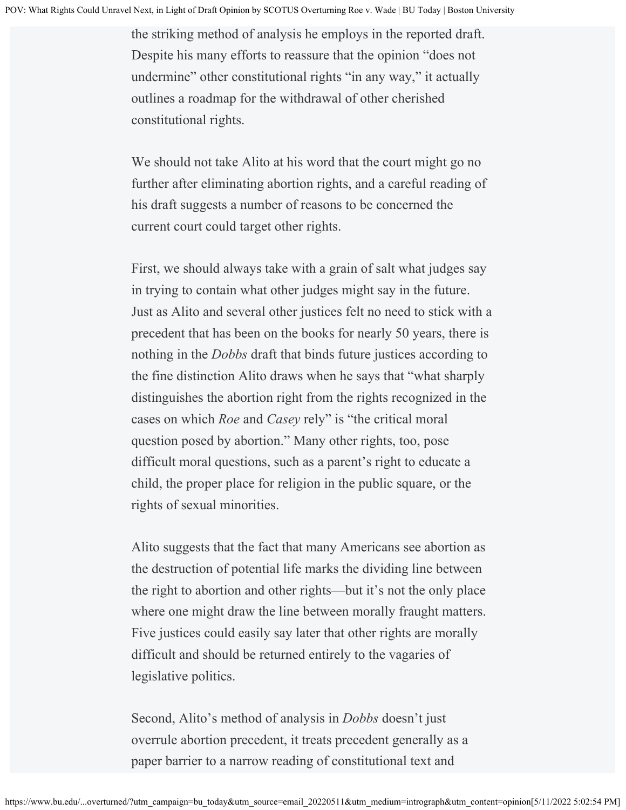the striking method of analysis he employs in the reported draft. Despite his many efforts to reassure that the opinion "does not undermine" other constitutional rights "in any way," it actually outlines a roadmap for the withdrawal of other cherished constitutional rights.

We should not take Alito at his word that the court might go no further after eliminating abortion rights, and a careful reading of his draft suggests a number of reasons to be concerned the current court could target other rights.

First, we should always take with a grain of salt what judges say in trying to contain what other judges might say in the future. Just as Alito and several other justices felt no need to stick with a precedent that has been on the books for nearly 50 years, there is nothing in the *Dobbs* draft that binds future justices according to the fine distinction Alito draws when he says that "what sharply distinguishes the abortion right from the rights recognized in the cases on which *Roe* and *Casey* rely" is "the critical moral question posed by abortion." Many other rights, too, pose difficult moral questions, such as a parent's right to educate a child, the proper place for religion in the public square, or the rights of sexual minorities.

Alito suggests that the fact that many Americans see abortion as the destruction of potential life marks the dividing line between the right to abortion and other rights—but it's not the only place where one might draw the line between morally fraught matters. Five justices could easily say later that other rights are morally difficult and should be returned entirely to the vagaries of legislative politics.

Second, Alito's method of analysis in *Dobbs* doesn't just overrule abortion precedent, it treats precedent generally as a paper barrier to a narrow reading of constitutional text and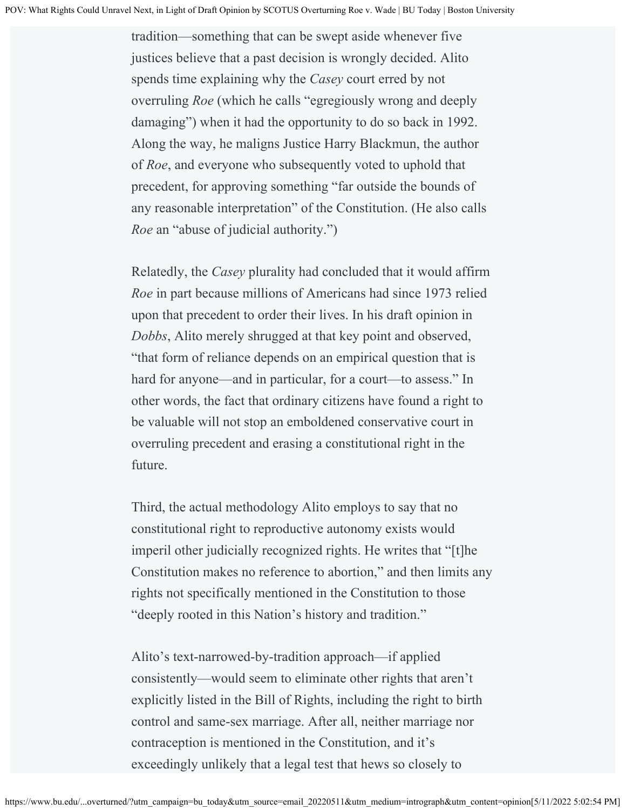tradition—something that can be swept aside whenever five justices believe that a past decision is wrongly decided. Alito spends time explaining why the *Casey* court erred by not overruling *Roe* (which he calls "egregiously wrong and deeply damaging") when it had the opportunity to do so back in 1992. Along the way, he maligns Justice Harry Blackmun, the author of *Roe*, and everyone who subsequently voted to uphold that precedent, for approving something "far outside the bounds of any reasonable interpretation" of the Constitution. (He also calls *Roe* an "abuse of judicial authority.")

Relatedly, the *Casey* plurality had concluded that it would affirm *Roe* in part because millions of Americans had since 1973 relied upon that precedent to order their lives. In his draft opinion in *Dobbs*, Alito merely shrugged at that key point and observed, "that form of reliance depends on an empirical question that is hard for anyone—and in particular, for a court—to assess." In other words, the fact that ordinary citizens have found a right to be valuable will not stop an emboldened conservative court in overruling precedent and erasing a constitutional right in the future.

Third, the actual methodology Alito employs to say that no constitutional right to reproductive autonomy exists would imperil other judicially recognized rights. He writes that "[t]he Constitution makes no reference to abortion," and then limits any rights not specifically mentioned in the Constitution to those "deeply rooted in this Nation's history and tradition."

Alito's text-narrowed-by-tradition approach—if applied consistently—would seem to eliminate other rights that aren't explicitly listed in the Bill of Rights, including the right to birth control and same-sex marriage. After all, neither marriage nor contraception is mentioned in the Constitution, and it's exceedingly unlikely that a legal test that hews so closely to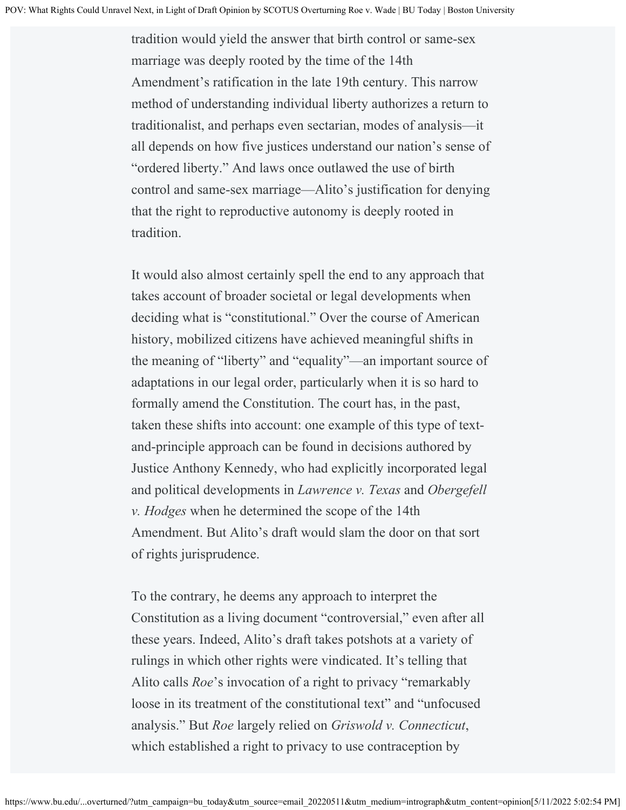tradition would yield the answer that birth control or same-sex marriage was deeply rooted by the time of the 14th Amendment's ratification in the late 19th century. This narrow method of understanding individual liberty authorizes a return to traditionalist, and perhaps even sectarian, modes of analysis—it all depends on how five justices understand our nation's sense of "ordered liberty." And laws once outlawed the use of birth control and same-sex marriage—Alito's justification for denying that the right to reproductive autonomy is deeply rooted in tradition.

It would also almost certainly spell the end to any approach that takes account of broader societal or legal developments when deciding what is "constitutional." Over the course of American history, mobilized citizens have achieved meaningful shifts in the meaning of "liberty" and "equality"—an important source of adaptations in our legal order, particularly when it is so hard to formally amend the Constitution. The court has, in the past, taken these shifts into account: one example of this type of textand-principle approach can be found in decisions authored by Justice Anthony Kennedy, who had explicitly incorporated legal and political developments in *Lawrence v. Texas* and *Obergefell v. Hodges* when he determined the scope of the 14th Amendment. But Alito's draft would slam the door on that sort of rights jurisprudence.

To the contrary, he deems any approach to interpret the Constitution as a living document "controversial," even after all these years. Indeed, Alito's draft takes potshots at a variety of rulings in which other rights were vindicated. It's telling that Alito calls *Roe*'s invocation of a right to privacy "remarkably loose in its treatment of the constitutional text" and "unfocused analysis." But *Roe* largely relied on *Griswold v. Connecticut*, which established a right to privacy to use contraception by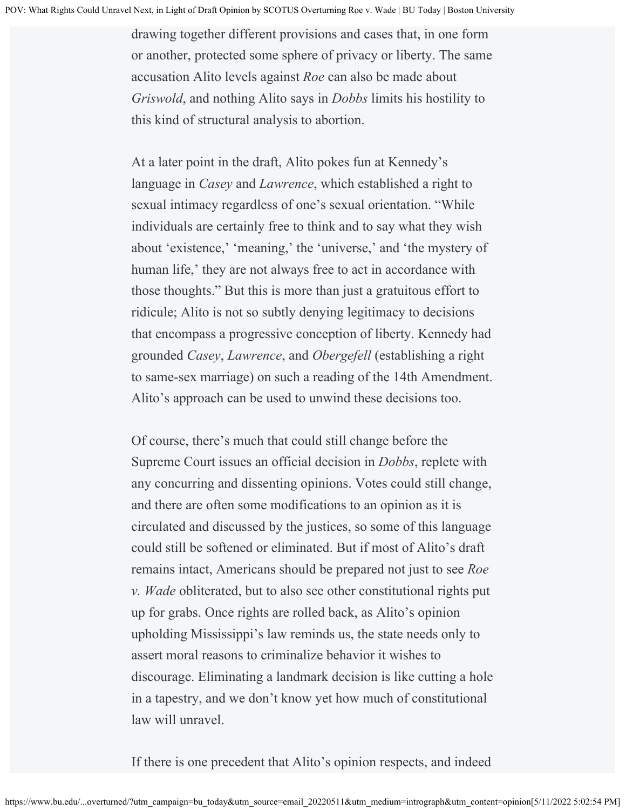drawing together different provisions and cases that, in one form or another, protected some sphere of privacy or liberty. The same accusation Alito levels against *Roe* can also be made about *Griswold*, and nothing Alito says in *Dobbs* limits his hostility to this kind of structural analysis to abortion.

At a later point in the draft, Alito pokes fun at Kennedy's language in *Casey* and *Lawrence*, which established a right to sexual intimacy regardless of one's sexual orientation. "While individuals are certainly free to think and to say what they wish about 'existence,' 'meaning,' the 'universe,' and 'the mystery of human life,' they are not always free to act in accordance with those thoughts." But this is more than just a gratuitous effort to ridicule; Alito is not so subtly denying legitimacy to decisions that encompass a progressive conception of liberty. Kennedy had grounded *Casey*, *Lawrence*, and *Obergefell* (establishing a right to same-sex marriage) on such a reading of the 14th Amendment. Alito's approach can be used to unwind these decisions too.

Of course, there's much that could still change before the Supreme Court issues an official decision in *Dobbs*, replete with any concurring and dissenting opinions. Votes could still change, and there are often some modifications to an opinion as it is circulated and discussed by the justices, so some of this language could still be softened or eliminated. But if most of Alito's draft remains intact, Americans should be prepared not just to see *Roe v. Wade* obliterated, but to also see other constitutional rights put up for grabs. Once rights are rolled back, as Alito's opinion upholding Mississippi's law reminds us, the state needs only to assert moral reasons to criminalize behavior it wishes to discourage. Eliminating a landmark decision is like cutting a hole in a tapestry, and we don't know yet how much of constitutional law will unravel.

If there is one precedent that Alito's opinion respects, and indeed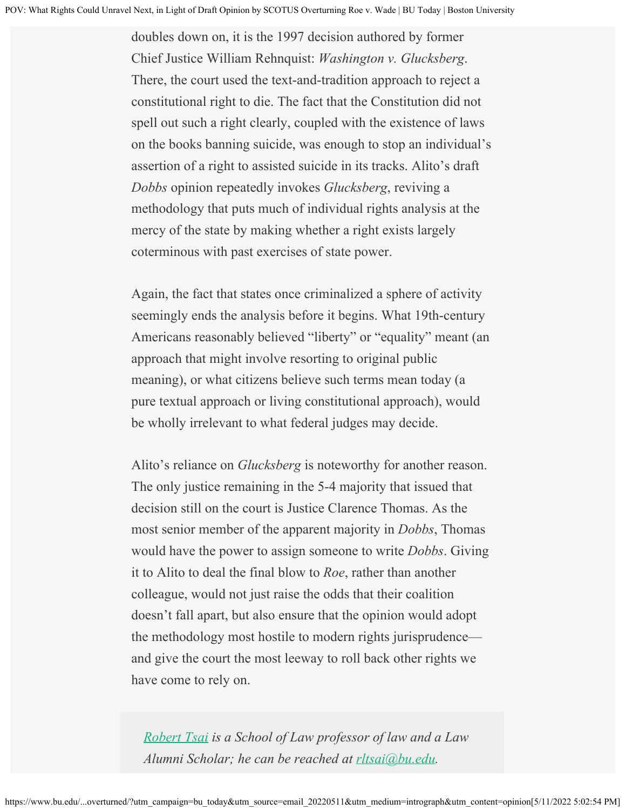doubles down on, it is the 1997 decision authored by former Chief Justice William Rehnquist: *Washington v. Glucksberg*. There, the court used the text-and-tradition approach to reject a constitutional right to die. The fact that the Constitution did not spell out such a right clearly, coupled with the existence of laws on the books banning suicide, was enough to stop an individual's assertion of a right to assisted suicide in its tracks. Alito's draft *Dobbs* opinion repeatedly invokes *Glucksberg*, reviving a methodology that puts much of individual rights analysis at the mercy of the state by making whether a right exists largely coterminous with past exercises of state power.

Again, the fact that states once criminalized a sphere of activity seemingly ends the analysis before it begins. What 19th-century Americans reasonably believed "liberty" or "equality" meant (an approach that might involve resorting to original public meaning), or what citizens believe such terms mean today (a pure textual approach or living constitutional approach), would be wholly irrelevant to what federal judges may decide.

Alito's reliance on *Glucksberg* is noteworthy for another reason. The only justice remaining in the 5-4 majority that issued that decision still on the court is Justice Clarence Thomas. As the most senior member of the apparent majority in *Dobbs*, Thomas would have the power to assign someone to write *Dobbs*. Giving it to Alito to deal the final blow to *Roe*, rather than another colleague, would not just raise the odds that their coalition doesn't fall apart, but also ensure that the opinion would adopt the methodology most hostile to modern rights jurisprudence and give the court the most leeway to roll back other rights we have come to rely on.

*[Robert Tsai](https://www.bu.edu/law/profile/robert-l-tsai/) is a School of Law professor of law and a Law Alumni Scholar; he can be reached at [rltsai@bu.edu](mailto:rltsai@bu.edu).*